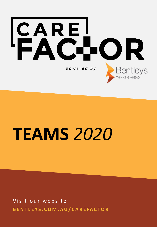

# **TEAMS** *2020*

Visit our website **B E N T L E Y S . C O M . A U / C A R E F A C T O R**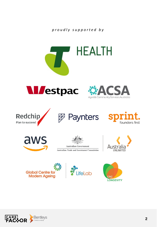

















**Australian Government** Australian Trade and Investment Commission









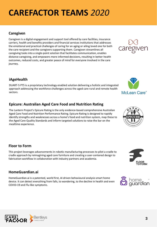## **CAREFACTOR TEAMS** *2020*

### **Caregiven**

Caregiven is a digital engagement and support tool offered by care facilities, insurance carriers, health and benefits providers and financial services institutions that addresses the emotional and practical challenges of caring for an aging or ailing loved one for both the care recipient and the caregivers supporting them. Caregiven streamlines all caregiving tasks into a single-point solution that facilitates communication, enables distance caregiving, and empowers more informed decisions, resulting in better health outcomes, reduced costs, and greater peace of mind for everyone involved in the care journey.

### **iAgeHealth**

DUART-5 PTS is a proprietary technology enabled solution delivering a holistic and integrated approach addressing the workforce challenges across the aged care rural and remote health sectors.

### **Epicure: Australian Aged Care Food and Nutrition Rating**

The Lantern Project's Epicure Rating is the only evidence-based comprehensive Australian Aged Care Food and Nutrition Performance Rating. Epicure Rating is designed to rapidly identify strengths and weaknesses across a home's food and nutrition system, map these to the Aged Care Quality Standards and inform targeted solutions to raise the bar on the mealtime experience.

### **Floor to Form**

This project leverages advancements in robotic manufacturing processes to pilot a cradle to cradle approach by reimagining aged care furniture and creating a user-centered design to fabrication workflow in collaboration with industry partners and academia.

### **HomeGuardian.ai**

HomeGuardian.ai is a patented, world first, AI driven behavioural analysis smart home device. It can detect everything from falls, to wandering, to the decline in health and even COVID-19 and Flu like symptoms.











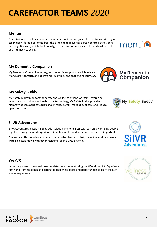## **CAREFACTOR TEAMS** *2020*

### **Mentia**

Our mission is to put best practice dementia care into everyone's hands. We use videogame technology - for tablet - to address the problem of delivering person-centred behavioural and cognitive care, which, traditionally, is expensive, requires specialists, is hard to track, and is difficult to scale.

### **My Dementia Companion**

My Dementia Companion reimagines dementia support to walk family and friend carers through one of life's most complex and challenging journeys.

### **My Safety Buddy**

My Safety Buddy monitors the safety and wellbeing of lone workers. Leveraging innovative smartphone and web portal technology, My Safety Buddy provides a hierarchy of escalating safeguards to enhance safety, meet duty of care and reduce operational costs.

### **SilVR Adventures**

SilVR Adventures' mission is to tackle isolation and loneliness with seniors by bringing people together through shared experiences in virtual reality and has never been more important.

Our service offers residents of care providers the chance to chat, travel the world and even watch a classic movie with other residents, all in a virtual world.

### **WeaVR**

Immerse yourself in an aged care simulated environment using the WeaVR toolkit. Experience first hand from residents and carers the challenges faced and opportunities to learn through shared experience.